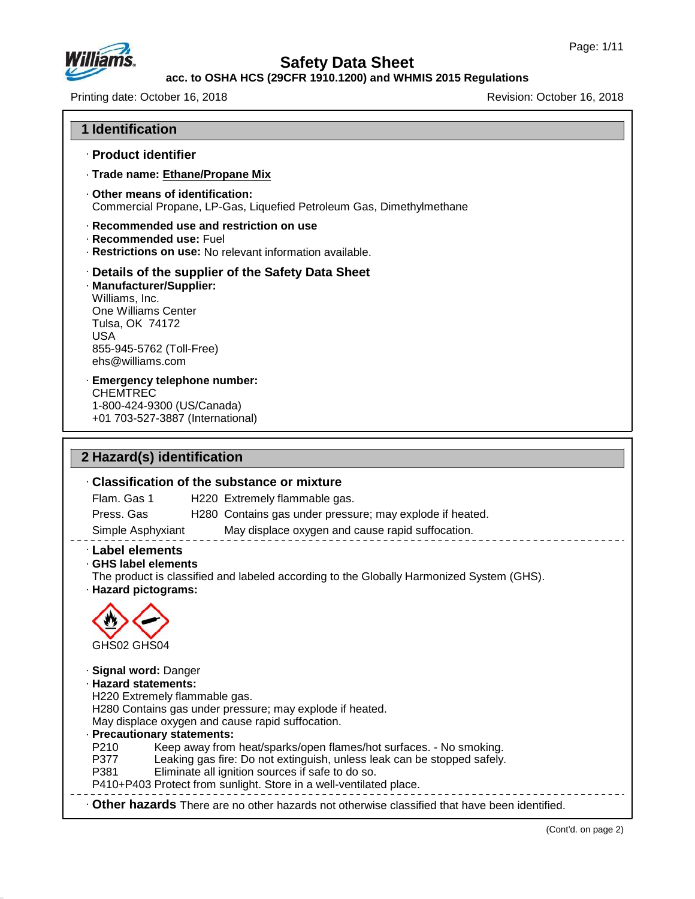

47.0.13

# **Safety Data Sheet**

#### **acc. to OSHA HCS (29CFR 1910.1200) and WHMIS 2015 Regulations**

Printing date: October 16, 2018 **Printing date: October 16, 2018** Revision: October 16, 2018

| · Product identifier                                                                                                                               |                                                                                                                                              |
|----------------------------------------------------------------------------------------------------------------------------------------------------|----------------------------------------------------------------------------------------------------------------------------------------------|
|                                                                                                                                                    | · Trade name: Ethane/Propane Mix                                                                                                             |
| Other means of identification:                                                                                                                     | Commercial Propane, LP-Gas, Liquefied Petroleum Gas, Dimethylmethane                                                                         |
| · Recommended use: Fuel                                                                                                                            | Recommended use and restriction on use<br>· Restrictions on use: No relevant information available.                                          |
| · Manufacturer/Supplier:<br>Williams, Inc.<br>One Williams Center<br>Tulsa, OK 74172<br><b>USA</b><br>855-945-5762 (Toll-Free)<br>ehs@williams.com | Details of the supplier of the Safety Data Sheet                                                                                             |
| <b>CHEMTREC</b><br>1-800-424-9300 (US/Canada)                                                                                                      | · Emergency telephone number:<br>+01 703-527-3887 (International)                                                                            |
|                                                                                                                                                    | <b>Classification of the substance or mixture</b>                                                                                            |
| Flam. Gas 1<br>Press. Gas                                                                                                                          | H220 Extremely flammable gas.<br>H280 Contains gas under pressure; may explode if heated.                                                    |
| Simple Asphyxiant                                                                                                                                  | May displace oxygen and cause rapid suffocation.<br>The product is classified and labeled according to the Globally Harmonized System (GHS). |
| 2 Hazard(s) identification<br>· Label elements<br>GHS label elements<br>· Hazard pictograms:<br>GHS02 GHS04                                        |                                                                                                                                              |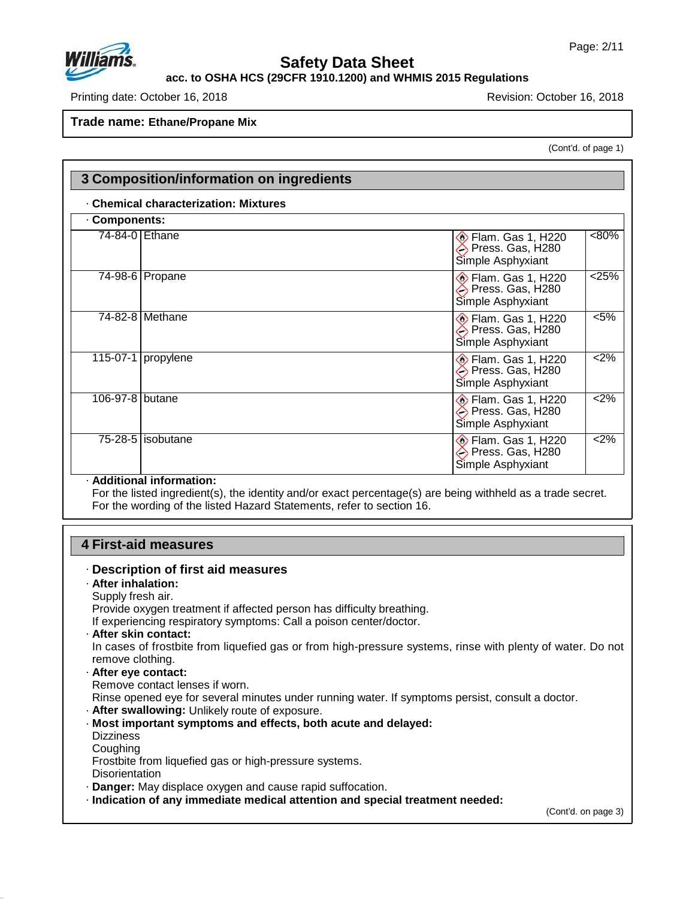

#### **acc. to OSHA HCS (29CFR 1910.1200) and WHMIS 2015 Regulations**

Printing date: October 16, 2018 **Printing date: October 16, 2018** 

**Trade name: Ethane/Propane Mix**

(Cont'd. of page 1)

| Components:     |                     |                                                                   |          |
|-----------------|---------------------|-------------------------------------------------------------------|----------|
| 74-84-0 Ethane  |                     | <b>Elam. Gas 1, H220</b><br>Press. Gas, H280<br>Simple Asphyxiant | $< 80\%$ |
|                 | 74-98-6 Propane     | <b>Elam. Gas 1, H220</b><br>Press. Gas, H280<br>Simple Asphyxiant | 25%      |
|                 | 74-82-8 Methane     | Flam. Gas 1, H220<br>Press. Gas, H280<br>Simple Asphyxiant        | $< 5\%$  |
| 115-07-1        | propylene           | <b>Elam. Gas 1, H220</b><br>Press. Gas, H280<br>Simple Asphyxiant | $2\%$    |
| 106-97-8 butane |                     | <b>Elam. Gas 1, H220</b><br>Press. Gas, H280<br>Simple Asphyxiant | 2%       |
|                 | $75-28-5$ isobutane | <b>Elam. Gas 1, H220</b><br>Press. Gas, H280<br>Simple Asphyxiant | $2\%$    |

For the listed ingredient(s), the identity and/or exact percentage(s) are being withheld as a trade secret. For the wording of the listed Hazard Statements, refer to section 16.

### **4 First-aid measures**

47.0.13

| · Description of first aid measures                                                                                            |                     |
|--------------------------------------------------------------------------------------------------------------------------------|---------------------|
| · After inhalation:                                                                                                            |                     |
| Supply fresh air.                                                                                                              |                     |
| Provide oxygen treatment if affected person has difficulty breathing.                                                          |                     |
| If experiencing respiratory symptoms: Call a poison center/doctor.                                                             |                     |
| · After skin contact:                                                                                                          |                     |
| In cases of frostbite from liquefied gas or from high-pressure systems, rinse with plenty of water. Do not<br>remove clothing. |                     |
| · After eye contact:                                                                                                           |                     |
| Remove contact lenses if worn.                                                                                                 |                     |
| Rinse opened eye for several minutes under running water. If symptoms persist, consult a doctor.                               |                     |
| . After swallowing: Unlikely route of exposure.                                                                                |                     |
| · Most important symptoms and effects, both acute and delayed:                                                                 |                     |
| <b>Dizziness</b>                                                                                                               |                     |
| Coughing                                                                                                                       |                     |
| Frostbite from liquefied gas or high-pressure systems.                                                                         |                     |
| <b>Disorientation</b>                                                                                                          |                     |
| . Danger: May displace oxygen and cause rapid suffocation.                                                                     |                     |
| · Indication of any immediate medical attention and special treatment needed:                                                  |                     |
|                                                                                                                                | (Cont'd. on page 3) |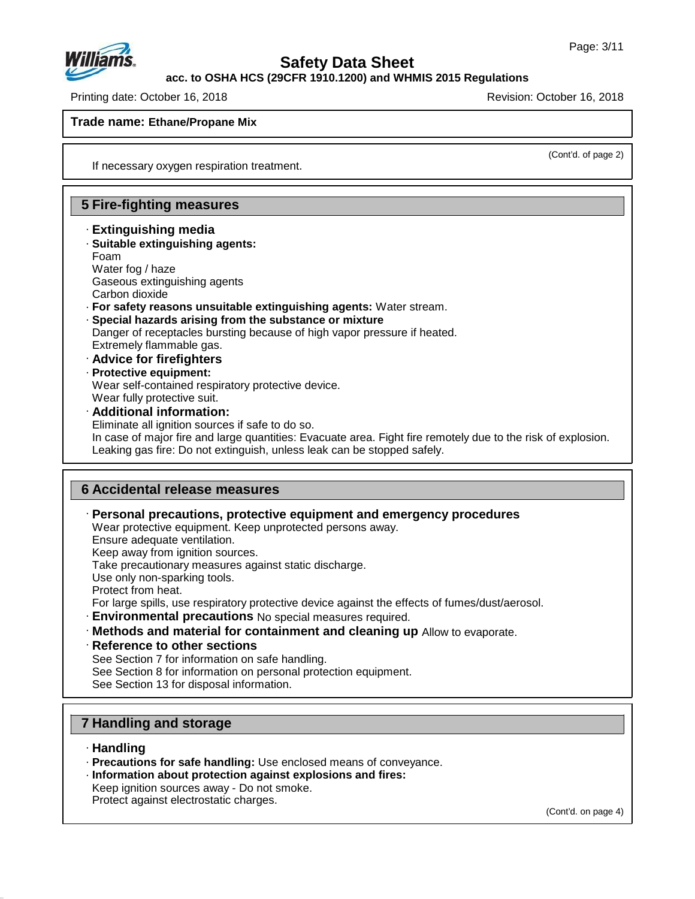

**acc. to OSHA HCS (29CFR 1910.1200) and WHMIS 2015 Regulations**

Printing date: October 16, 2018 Revision: October 16, 2018

#### **Trade name: Ethane/Propane Mix**

(Cont'd. of page 2)

If necessary oxygen respiration treatment.

#### **5 Fire-fighting measures**

- · **Extinguishing media** · **Suitable extinguishing agents:**
- Foam Water fog / haze Gaseous extinguishing agents Carbon dioxide
- · **For safety reasons unsuitable extinguishing agents:** Water stream.
- · **Special hazards arising from the substance or mixture** Danger of receptacles bursting because of high vapor pressure if heated. Extremely flammable gas.
- · **Advice for firefighters** · **Protective equipment:** Wear self-contained respiratory protective device. Wear fully protective suit.
- · **Additional information:** Eliminate all ignition sources if safe to do so. In case of major fire and large quantities: Evacuate area. Fight fire remotely due to the risk of explosion. Leaking gas fire: Do not extinguish, unless leak can be stopped safely.

#### **6 Accidental release measures**

· **Personal precautions, protective equipment and emergency procedures**

Wear protective equipment. Keep unprotected persons away.

Ensure adequate ventilation.

Keep away from ignition sources.

Take precautionary measures against static discharge.

Use only non-sparking tools.

Protect from heat.

For large spills, use respiratory protective device against the effects of fumes/dust/aerosol.

- · **Environmental precautions** No special measures required.
- · **Methods and material for containment and cleaning up** Allow to evaporate.
- · **Reference to other sections**

See Section 7 for information on safe handling.

See Section 8 for information on personal protection equipment.

See Section 13 for disposal information.

### **7 Handling and storage**

· **Handling**

47.0.13

- · **Precautions for safe handling:** Use enclosed means of conveyance.
- · **Information about protection against explosions and fires:**
- Keep ignition sources away Do not smoke.

Protect against electrostatic charges.

(Cont'd. on page 4)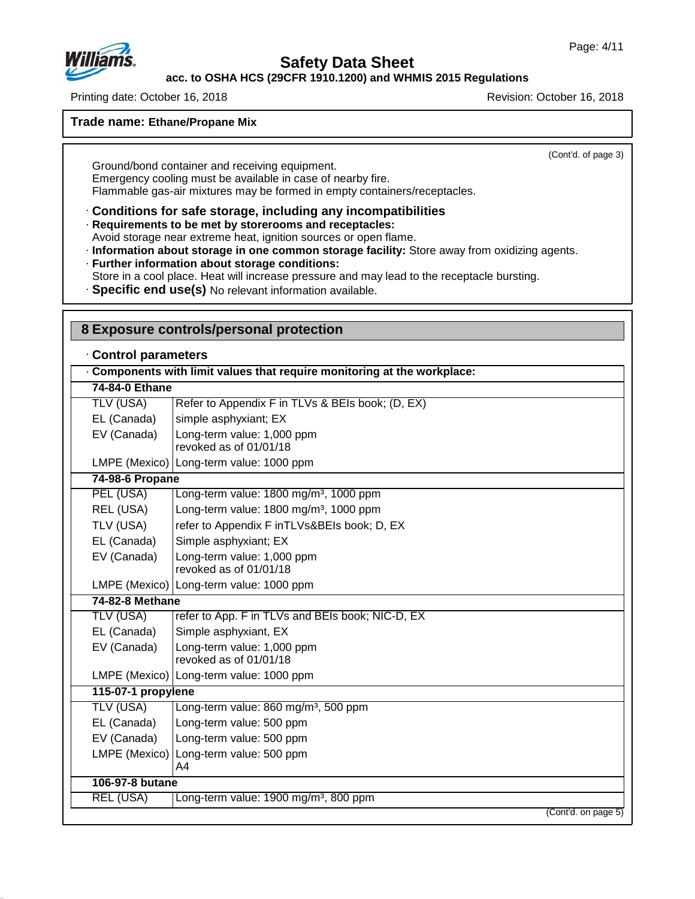

47.0.13

## **Safety Data Sheet**

**acc. to OSHA HCS (29CFR 1910.1200) and WHMIS 2015 Regulations**

Printing date: October 16, 2018 Revision: October 16, 2018

**Trade name: Ethane/Propane Mix**

(Cont'd. of page 3)

Ground/bond container and receiving equipment. Emergency cooling must be available in case of nearby fire. Flammable gas-air mixtures may be formed in empty containers/receptacles.

· **Conditions for safe storage, including any incompatibilities**

· **Requirements to be met by storerooms and receptacles:**

Avoid storage near extreme heat, ignition sources or open flame.

· **Information about storage in one common storage facility:** Store away from oxidizing agents. · **Further information about storage conditions:**

Store in a cool place. Heat will increase pressure and may lead to the receptacle bursting.

· **Specific end use(s)** No relevant information available.

| Control parameters |                                                                        |
|--------------------|------------------------------------------------------------------------|
|                    | Components with limit values that require monitoring at the workplace: |
| 74-84-0 Ethane     |                                                                        |
| <b>TLV (USA)</b>   | Refer to Appendix F in TLVs & BEIs book; (D, EX)                       |
| EL (Canada)        | simple asphyxiant; EX                                                  |
| EV (Canada)        | Long-term value: 1,000 ppm<br>revoked as of 01/01/18                   |
|                    | LMPE (Mexico) Long-term value: 1000 ppm                                |
| 74-98-6 Propane    |                                                                        |
| PEL (USA)          | Long-term value: 1800 mg/m <sup>3</sup> , 1000 ppm                     |
| REL (USA)          | Long-term value: 1800 mg/m <sup>3</sup> , 1000 ppm                     |
| TLV (USA)          | refer to Appendix F inTLVs&BEIs book; D, EX                            |
| EL (Canada)        | Simple asphyxiant; EX                                                  |
| EV (Canada)        | Long-term value: 1,000 ppm<br>revoked as of 01/01/18                   |
|                    | LMPE (Mexico)   Long-term value: 1000 ppm                              |
| 74-82-8 Methane    |                                                                        |
| TLV (USA)          | refer to App. F in TLVs and BEIs book; NIC-D, EX                       |
| EL (Canada)        | Simple asphyxiant, EX                                                  |
| EV (Canada)        | Long-term value: 1,000 ppm<br>revoked as of 01/01/18                   |
|                    | LMPE (Mexico)   Long-term value: 1000 ppm                              |
| 115-07-1 propylene |                                                                        |
| <b>TLV (USA)</b>   | Long-term value: 860 mg/m <sup>3</sup> , 500 ppm                       |
| EL (Canada)        | Long-term value: 500 ppm                                               |
| EV (Canada)        | Long-term value: 500 ppm                                               |
| LMPE (Mexico)      | Long-term value: 500 ppm<br>A4                                         |
| 106-97-8 butane    |                                                                        |
| REL (USA)          | Long-term value: 1900 mg/m <sup>3</sup> , 800 ppm                      |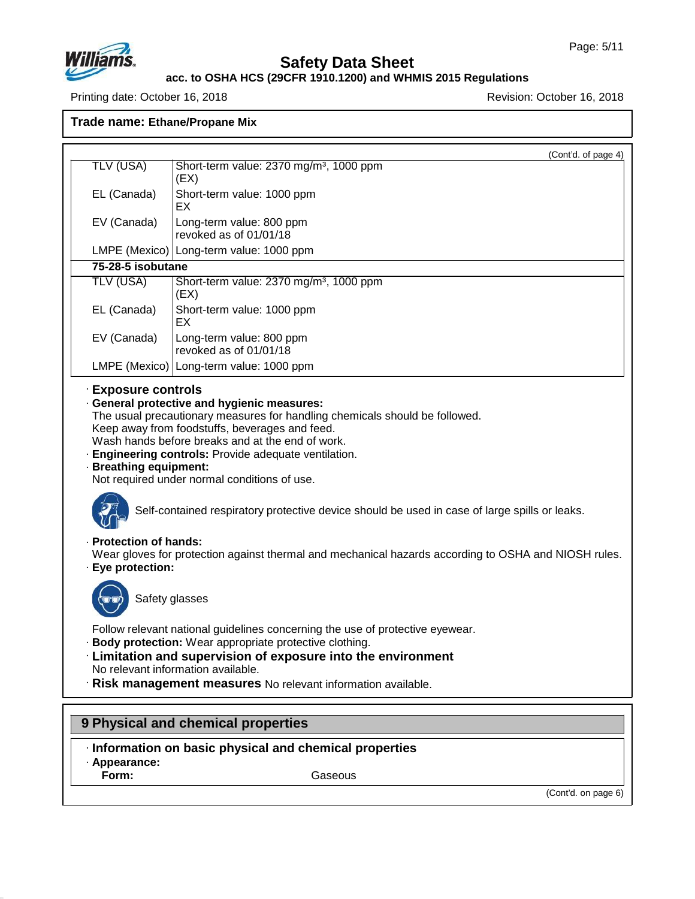

#### **acc. to OSHA HCS (29CFR 1910.1200) and WHMIS 2015 Regulations**

Printing date: October 16, 2018 **Printing date: October 16, 2018** 

**Trade name: Ethane/Propane Mix**

| TLV (USA)              | (Cont'd. of page 4)<br>Short-term value: 2370 mg/m <sup>3</sup> , 1000 ppm                                                                                                                                                                                                                                        |
|------------------------|-------------------------------------------------------------------------------------------------------------------------------------------------------------------------------------------------------------------------------------------------------------------------------------------------------------------|
|                        | (EX)                                                                                                                                                                                                                                                                                                              |
| EL (Canada)            | Short-term value: 1000 ppm                                                                                                                                                                                                                                                                                        |
|                        | EХ                                                                                                                                                                                                                                                                                                                |
| EV (Canada)            | Long-term value: 800 ppm<br>revoked as of 01/01/18                                                                                                                                                                                                                                                                |
|                        | LMPE (Mexico)   Long-term value: 1000 ppm                                                                                                                                                                                                                                                                         |
| 75-28-5 isobutane      |                                                                                                                                                                                                                                                                                                                   |
| <b>TLV (USA)</b>       | Short-term value: 2370 mg/m <sup>3</sup> , 1000 ppm<br>(EX)                                                                                                                                                                                                                                                       |
| EL (Canada)            | Short-term value: 1000 ppm<br>EX                                                                                                                                                                                                                                                                                  |
| EV (Canada)            | Long-term value: 800 ppm<br>revoked as of 01/01/18                                                                                                                                                                                                                                                                |
|                        | LMPE (Mexico)   Long-term value: 1000 ppm                                                                                                                                                                                                                                                                         |
| · Protection of hands: | Not required under normal conditions of use.<br>Self-contained respiratory protective device should be used in case of large spills or leaks.                                                                                                                                                                     |
| · Eye protection:      | Wear gloves for protection against thermal and mechanical hazards according to OSHA and NIOSH rules.                                                                                                                                                                                                              |
| Safety glasses         |                                                                                                                                                                                                                                                                                                                   |
|                        | Follow relevant national guidelines concerning the use of protective eyewear.<br>· Body protection: Wear appropriate protective clothing.<br>· Limitation and supervision of exposure into the environment<br>No relevant information available.<br>· Risk management measures No relevant information available. |
|                        | 9 Physical and chemical properties                                                                                                                                                                                                                                                                                |
|                        |                                                                                                                                                                                                                                                                                                                   |

- · **Information on basic physical and chemical properties**
- · **Appearance:**

47.0.13

**Form:** Gaseous

(Cont'd. on page 6)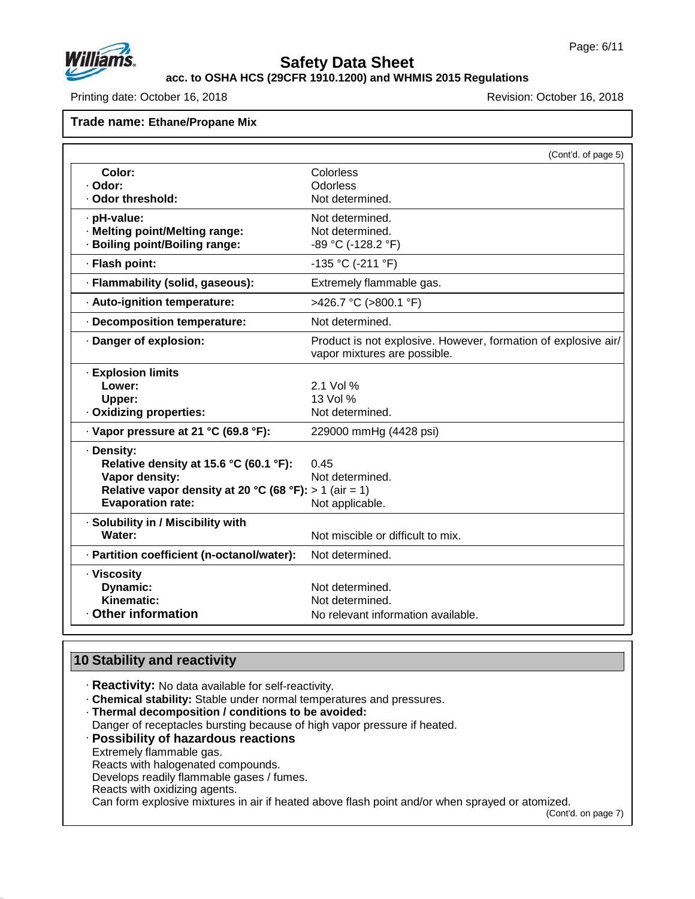

**acc. to OSHA HCS (29CFR 1910.1200) and WHMIS 2015 Regulations**

Printing date: October 16, 2018 **Printing date: October 16, 2018** Revision: October 16, 2018

#### **Trade name: Ethane/Propane Mix**

|                                                        | (Cont'd. of page 5)                                            |
|--------------------------------------------------------|----------------------------------------------------------------|
| Color:                                                 | Colorless                                                      |
| · Odor:                                                | Odorless                                                       |
| · Odor threshold:                                      | Not determined.                                                |
| · pH-value:                                            | Not determined.                                                |
| · Melting point/Melting range:                         | Not determined.                                                |
| · Boiling point/Boiling range:                         | -89 °C (-128.2 °F)                                             |
| · Flash point:                                         | -135 °C (-211 °F)                                              |
| · Flammability (solid, gaseous):                       | Extremely flammable gas.                                       |
| · Auto-ignition temperature:                           | >426.7 °C (>800.1 °F)                                          |
| · Decomposition temperature:                           | Not determined.                                                |
| · Danger of explosion:                                 | Product is not explosive. However, formation of explosive air/ |
|                                                        | vapor mixtures are possible.                                   |
| · Explosion limits                                     |                                                                |
| Lower:                                                 | 2.1 Vol %                                                      |
| Upper:                                                 | 13 Vol %                                                       |
| · Oxidizing properties:                                | Not determined.                                                |
| · Vapor pressure at 21 °C (69.8 °F):                   | 229000 mmHg (4428 psi)                                         |
| · Density:                                             |                                                                |
| Relative density at 15.6 °C (60.1 °F):                 | 0 45                                                           |
| Vapor density:                                         | Not determined.                                                |
| Relative vapor density at 20 °C (68 °F): > 1 (air = 1) |                                                                |
| <b>Evaporation rate:</b>                               | Not applicable.                                                |
| · Solubility in / Miscibility with                     |                                                                |
| Water:                                                 | Not miscible or difficult to mix.                              |
| · Partition coefficient (n-octanol/water):             | Not determined.                                                |
| · Viscosity                                            |                                                                |
| Dynamic:                                               | Not determined.                                                |
| Kinematic:                                             | Not determined.                                                |
| Other information                                      | No relevant information available.                             |

## **10 Stability and reactivity**

- · **Reactivity:** No data available for self-reactivity.
- · **Chemical stability:** Stable under normal temperatures and pressures.
- · **Thermal decomposition / conditions to be avoided:**
- Danger of receptacles bursting because of high vapor pressure if heated.

### · **Possibility of hazardous reactions**

Extremely flammable gas.

47.0.13

- Reacts with halogenated compounds.
- Develops readily flammable gases / fumes.
- Reacts with oxidizing agents.

Can form explosive mixtures in air if heated above flash point and/or when sprayed or atomized.

(Cont'd. on page 7)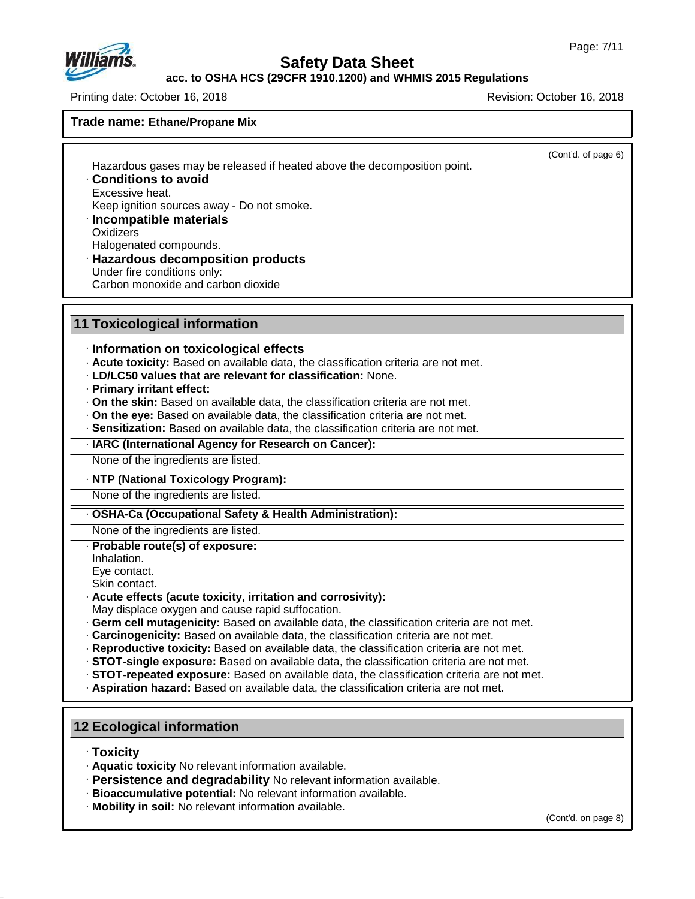(Cont'd. of page 6)



### **Safety Data Sheet**

**acc. to OSHA HCS (29CFR 1910.1200) and WHMIS 2015 Regulations**

Printing date: October 16, 2018 Revision: October 16, 2018

**Trade name: Ethane/Propane Mix**

Hazardous gases may be released if heated above the decomposition point.

· **Conditions to avoid** Excessive heat.

Keep ignition sources away - Do not smoke.

- · **Incompatible materials**
- **Oxidizers**
- Halogenated compounds.
- · **Hazardous decomposition products**
- Under fire conditions only: Carbon monoxide and carbon dioxide
- **11 Toxicological information**

### · **Information on toxicological effects**

- · **Acute toxicity:** Based on available data, the classification criteria are not met.
- · **LD/LC50 values that are relevant for classification:** None.
- · **Primary irritant effect:**
- · **On the skin:** Based on available data, the classification criteria are not met.
- · **On the eye:** Based on available data, the classification criteria are not met.
- · **Sensitization:** Based on available data, the classification criteria are not met.

· **IARC (International Agency for Research on Cancer):**

None of the ingredients are listed.

#### · **NTP (National Toxicology Program):**

None of the ingredients are listed.

#### · **OSHA-Ca (Occupational Safety & Health Administration):**

None of the ingredients are listed.

- · **Probable route(s) of exposure:**
- Inhalation.

Eye contact.

Skin contact.

· **Acute effects (acute toxicity, irritation and corrosivity):**

May displace oxygen and cause rapid suffocation.

- · **Germ cell mutagenicity:** Based on available data, the classification criteria are not met.
- · **Carcinogenicity:** Based on available data, the classification criteria are not met.
- · **Reproductive toxicity:** Based on available data, the classification criteria are not met.
- · **STOT-single exposure:** Based on available data, the classification criteria are not met.
- · **STOT-repeated exposure:** Based on available data, the classification criteria are not met.
- · **Aspiration hazard:** Based on available data, the classification criteria are not met.

### **12 Ecological information**

· **Toxicity**

47.0.13

- · **Aquatic toxicity** No relevant information available.
- · **Persistence and degradability** No relevant information available.
- · **Bioaccumulative potential:** No relevant information available.
- · **Mobility in soil:** No relevant information available.

(Cont'd. on page 8)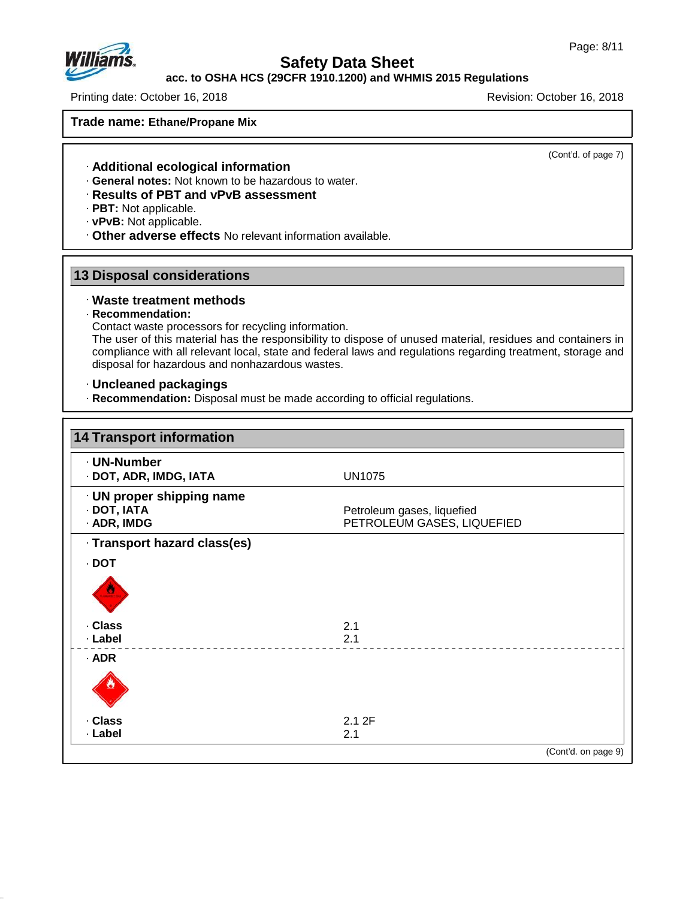

### **acc. to OSHA HCS (29CFR 1910.1200) and WHMIS 2015 Regulations**

Printing date: October 16, 2018 **Printing date: October 16, 2018** Revision: October 16, 2018

**Trade name: Ethane/Propane Mix**

(Cont'd. of page 7)

- · **Additional ecological information**
- · **General notes:** Not known to be hazardous to water.
- · **Results of PBT and vPvB assessment**
- · **PBT:** Not applicable.
- · **vPvB:** Not applicable.
- · **Other adverse effects** No relevant information available.

### **13 Disposal considerations**

#### · **Waste treatment methods**

#### · **Recommendation:**

47.0.13

Contact waste processors for recycling information.

The user of this material has the responsibility to dispose of unused material, residues and containers in compliance with all relevant local, state and federal laws and regulations regarding treatment, storage and disposal for hazardous and nonhazardous wastes.

#### · **Uncleaned packagings**

· **Recommendation:** Disposal must be made according to official regulations.

| <b>14 Transport information</b>                         |                                                          |
|---------------------------------------------------------|----------------------------------------------------------|
| · UN-Number<br>· DOT, ADR, IMDG, IATA                   | <b>UN1075</b>                                            |
| · UN proper shipping name<br>· DOT, IATA<br>· ADR, IMDG | Petroleum gases, liquefied<br>PETROLEUM GASES, LIQUEFIED |
| · Transport hazard class(es)                            |                                                          |
| $\cdot$ DOT                                             |                                                          |
|                                                         |                                                          |
| . Class                                                 | 2.1                                                      |
| · Label                                                 | 2.1                                                      |
| $·$ ADR                                                 |                                                          |
|                                                         |                                                          |
| . Class                                                 | 2.12F                                                    |
| · Label                                                 | 2.1                                                      |
|                                                         | (Cont'd. on page 9)                                      |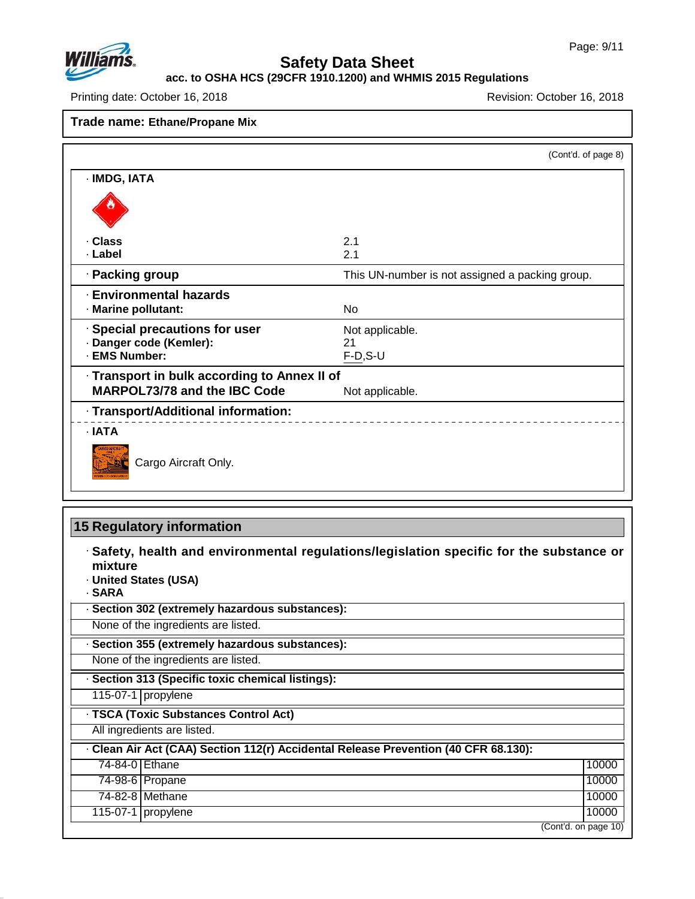

#### **acc. to OSHA HCS (29CFR 1910.1200) and WHMIS 2015 Regulations**

Printing date: October 16, 2018 **Printing date: October 16, 2018** 

**Trade name: Ethane/Propane Mix**

|                                              | (Cont'd. of page 8)                             |
|----------------------------------------------|-------------------------------------------------|
| · IMDG, IATA                                 |                                                 |
|                                              |                                                 |
| · Class                                      | 2.1                                             |
| · Label                                      | 2.1                                             |
| · Packing group                              | This UN-number is not assigned a packing group. |
| <b>Environmental hazards</b>                 |                                                 |
| · Marine pollutant:                          | No.                                             |
| · Special precautions for user               | Not applicable.                                 |
| · Danger code (Kemler):                      | 21                                              |
| · EMS Number:                                | $F-D, S-U$                                      |
| · Transport in bulk according to Annex II of |                                                 |
| <b>MARPOL73/78 and the IBC Code</b>          | Not applicable.                                 |
| · Transport/Additional information:          |                                                 |
| $\cdot$ IATA                                 |                                                 |
| Cargo Aircraft Only.                         |                                                 |

## **15 Regulatory information**

| · Safety, health and environmental regulations/legislation specific for the substance or<br>mixture<br>· United States (USA)<br>· SARA |
|----------------------------------------------------------------------------------------------------------------------------------------|
| · Section 302 (extremely hazardous substances):                                                                                        |
| None of the ingredients are listed.                                                                                                    |
| · Section 355 (extremely hazardous substances):                                                                                        |
| None of the ingredients are listed.                                                                                                    |
| · Section 313 (Specific toxic chemical listings):                                                                                      |

115-07-1 propylene

· **TSCA (Toxic Substances Control Act)**

All ingredients are listed.

47.0.13

|                | · Clean Air Act (CAA) Section 112(r) Accidental Release Prevention (40 CFR 68.130): |                      |
|----------------|-------------------------------------------------------------------------------------|----------------------|
| 74-84-0 Ethane |                                                                                     | 10000                |
|                | 74-98-6 Propane                                                                     | 10000                |
|                | 74-82-8 Methane                                                                     | 10000                |
|                | $115-07-1$ propylene                                                                | 10000                |
|                |                                                                                     | (Cont'd. on page 10) |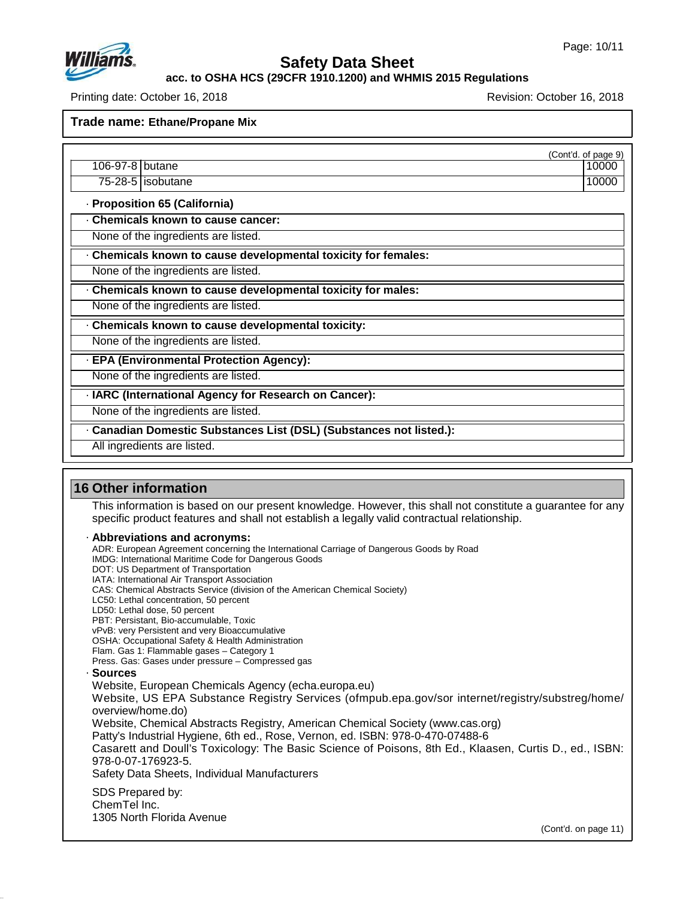

**acc. to OSHA HCS (29CFR 1910.1200) and WHMIS 2015 Regulations**

Printing date: October 16, 2018 Revision: October 16, 2018

**Trade name: Ethane/Propane Mix**

(Cont'd. of page 9)

- 106-97-8 butane 100000 in the 100000 in the 100000 in the 100000 in the 100000 in the 100000 in the 100000 in the 100000 in the 100000 in the 100000 in the 100000 in the 100000 in the 100000 in the 100000 in the 100000 in 75-28-5 isobutane 10000
- · **Proposition 65 (California)**
- · **Chemicals known to cause cancer:**
- None of the ingredients are listed.
- · **Chemicals known to cause developmental toxicity for females:**
- None of the ingredients are listed.
- · **Chemicals known to cause developmental toxicity for males:**
- None of the ingredients are listed.
- · **Chemicals known to cause developmental toxicity:**
- None of the ingredients are listed.
- · **EPA (Environmental Protection Agency):**
- None of the ingredients are listed.
- · **IARC (International Agency for Research on Cancer):**
- None of the ingredients are listed.
- · **Canadian Domestic Substances List (DSL) (Substances not listed.):**
- All ingredients are listed.

### **16 Other information**

This information is based on our present knowledge. However, this shall not constitute a guarantee for any specific product features and shall not establish a legally valid contractual relationship.

#### · **Abbreviations and acronyms:**

- ADR: European Agreement concerning the International Carriage of Dangerous Goods by Road
- IMDG: International Maritime Code for Dangerous Goods
- DOT: US Department of Transportation
- IATA: International Air Transport Association
- CAS: Chemical Abstracts Service (division of the American Chemical Society)
- LC50: Lethal concentration, 50 percent
- LD50: Lethal dose, 50 percent PBT: Persistant, Bio-accumulable, Toxic
- vPvB: very Persistent and very Bioaccumulative
- OSHA: Occupational Safety & Health Administration
- Flam. Gas 1: Flammable gases Category 1
- Press. Gas: Gases under pressure Compressed gas
- · **Sources**

47.0.13

- Website, European Chemicals Agency (echa.europa.eu)
- Website, US EPA Substance Registry Services (ofmpub.epa.gov/sor internet/registry/substreg/home/ overview/home.do)
- Website, Chemical Abstracts Registry, American Chemical Society (www.cas.org)
- Patty's Industrial Hygiene, 6th ed., Rose, Vernon, ed. ISBN: 978-0-470-07488-6
- Casarett and Doull's Toxicology: The Basic Science of Poisons, 8th Ed., Klaasen, Curtis D.,ed., ISBN: 978-0-07-176923-5.
- Safety Data Sheets, Individual Manufacturers
- SDS Prepared by: ChemTel Inc. 1305 North Florida Avenue

(Cont'd. on page 11)